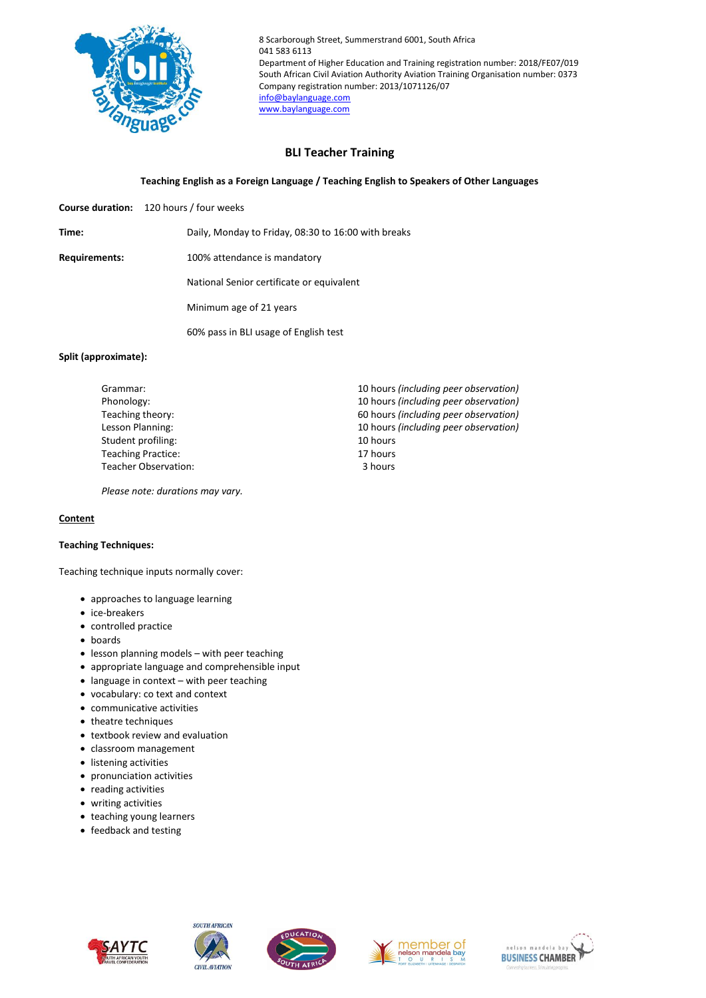

8 Scarborough Street, Summerstrand 6001, South Africa 041 583 6113 Department of Higher Education and Training registration number: 2018/FE07/019 South African Civil Aviation Authority Aviation Training Organisation number: 0373 Company registration number: 2013/1071126/07 [info@baylanguage.com](mailto:info@baylanguage.com) [www.baylanguage.com](http://www.baylanguage.com/)

# **BLI Teacher Training**

# **Teaching English as a Foreign Language / Teaching English to Speakers of Other Languages**

**Course duration:** 120 hours / four weeks

**Time:** Daily, Monday to Friday, 08:30 to 16:00 with breaks

**Requirements:** 100% attendance is mandatory

National Senior certificate or equivalent

Minimum age of 21 years

60% pass in BLI usage of English test

#### **Split (approximate):**

| Grammar:                  | 10 hours (including peer observation) |
|---------------------------|---------------------------------------|
| Phonology:                | 10 hours (including peer observation) |
| Teaching theory:          | 60 hours (including peer observation) |
| Lesson Planning:          | 10 hours (including peer observation) |
| Student profiling:        | 10 hours                              |
| <b>Teaching Practice:</b> | 17 hours                              |
| Teacher Observation:      | 3 hours                               |

*Please note: durations may vary.*

## **Content**

## **Teaching Techniques:**

Teaching technique inputs normally cover:

- approaches to language learning
- ice-breakers
- controlled practice
- boards
- lesson planning models with peer teaching
- appropriate language and comprehensible input
- language in context with peer teaching
- vocabulary: co text and context
- communicative activities
- theatre techniques
- textbook review and evaluation
- classroom management
- **·** listening activities
- pronunciation activities
- reading activities
- writing activities
- teaching young learners
- feedback and testing